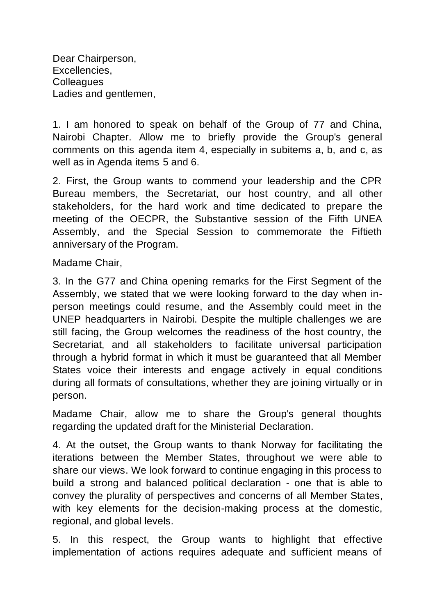Dear Chairperson, Excellencies, **Colleagues** Ladies and gentlemen,

1. I am honored to speak on behalf of the Group of 77 and China, Nairobi Chapter. Allow me to briefly provide the Group's general comments on this agenda item 4, especially in subitems a, b, and c, as well as in Agenda items 5 and 6.

2. First, the Group wants to commend your leadership and the CPR Bureau members, the Secretariat, our host country, and all other stakeholders, for the hard work and time dedicated to prepare the meeting of the OECPR, the Substantive session of the Fifth UNEA Assembly, and the Special Session to commemorate the Fiftieth anniversary of the Program.

Madame Chair,

3. In the G77 and China opening remarks for the First Segment of the Assembly, we stated that we were looking forward to the day when inperson meetings could resume, and the Assembly could meet in the UNEP headquarters in Nairobi. Despite the multiple challenges we are still facing, the Group welcomes the readiness of the host country, the Secretariat, and all stakeholders to facilitate universal participation through a hybrid format in which it must be guaranteed that all Member States voice their interests and engage actively in equal conditions during all formats of consultations, whether they are joining virtually or in person.

Madame Chair, allow me to share the Group's general thoughts regarding the updated draft for the Ministerial Declaration.

4. At the outset, the Group wants to thank Norway for facilitating the iterations between the Member States, throughout we were able to share our views. We look forward to continue engaging in this process to build a strong and balanced political declaration - one that is able to convey the plurality of perspectives and concerns of all Member States, with key elements for the decision-making process at the domestic, regional, and global levels.

5. In this respect, the Group wants to highlight that effective implementation of actions requires adequate and sufficient means of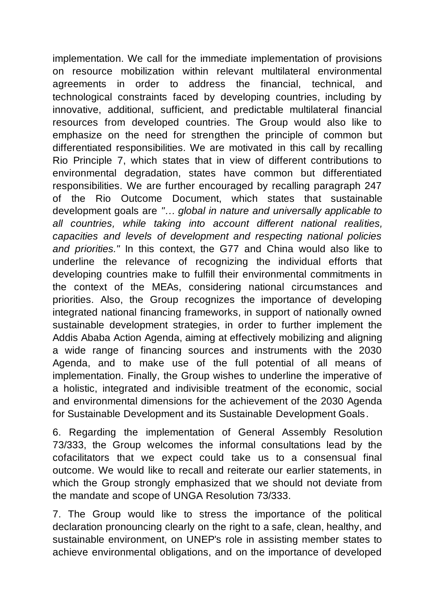implementation. We call for the immediate implementation of provisions on resource mobilization within relevant multilateral environmental agreements in order to address the financial, technical, and technological constraints faced by developing countries, including by innovative, additional, sufficient, and predictable multilateral financial resources from developed countries. The Group would also like to emphasize on the need for strengthen the principle of common but differentiated responsibilities. We are motivated in this call by recalling Rio Principle 7, which states that in view of different contributions to environmental degradation, states have common but differentiated responsibilities. We are further encouraged by recalling paragraph 247 of the Rio Outcome Document, which states that sustainable development goals are *"… global in nature and universally applicable to all countries, while taking into account different national realities, capacities and levels of development and respecting national policies and priorities."* In this context, the G77 and China would also like to underline the relevance of recognizing the individual efforts that developing countries make to fulfill their environmental commitments in the context of the MEAs, considering national circumstances and priorities. Also, the Group recognizes the importance of developing integrated national financing frameworks, in support of nationally owned sustainable development strategies, in order to further implement the Addis Ababa Action Agenda, aiming at effectively mobilizing and aligning a wide range of financing sources and instruments with the 2030 Agenda, and to make use of the full potential of all means of implementation. Finally, the Group wishes to underline the imperative of a holistic, integrated and indivisible treatment of the economic, social and environmental dimensions for the achievement of the 2030 Agenda for Sustainable Development and its Sustainable Development Goals.

6. Regarding the implementation of General Assembly Resolution 73/333, the Group welcomes the informal consultations lead by the cofacilitators that we expect could take us to a consensual final outcome. We would like to recall and reiterate our earlier statements, in which the Group strongly emphasized that we should not deviate from the mandate and scope of UNGA Resolution 73/333.

7. The Group would like to stress the importance of the political declaration pronouncing clearly on the right to a safe, clean, healthy, and sustainable environment, on UNEP's role in assisting member states to achieve environmental obligations, and on the importance of developed